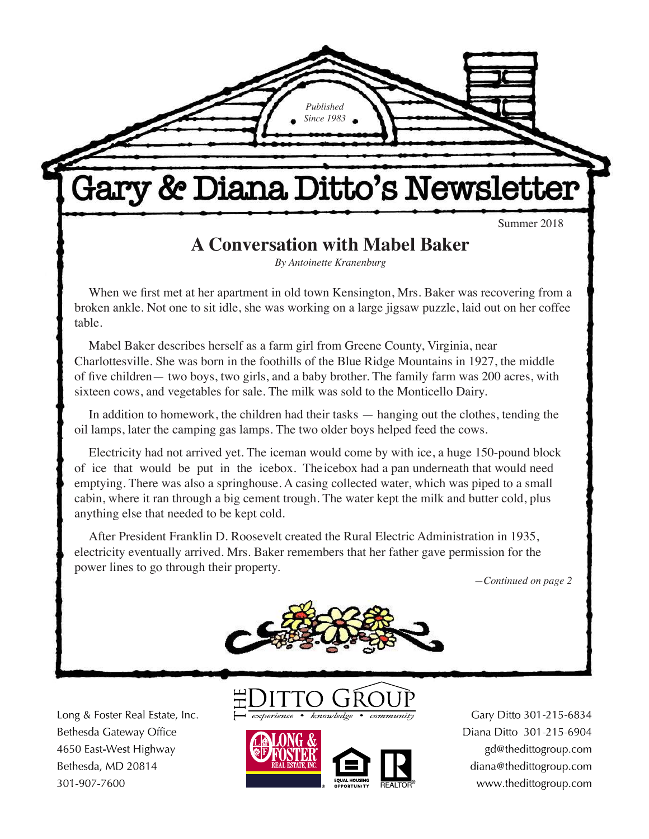Summer 2018

# **A Conversation with Mabel Baker**

Gary & Diana Ditto's Newsletter

*Published Since 1983*

*By Antoinette Kranenburg*

When we first met at her apartment in old town Kensington, Mrs. Baker was recovering from a broken ankle. Not one to sit idle, she was working on a large jigsaw puzzle, laid out on her coffee table.

Mabel Baker describes herself as a farm girl from Greene County, Virginia, near Charlottesville. She was born in the foothills of the Blue Ridge Mountains in 1927, the middle of five children— two boys, two girls, and a baby brother. The family farm was 200 acres, with sixteen cows, and vegetables for sale. The milk was sold to the Monticello Dairy.

In addition to homework, the children had their tasks — hanging out the clothes, tending the oil lamps, later the camping gas lamps. The two older boys helped feed the cows.

Electricity had not arrived yet. The iceman would come by with ice, a huge 150-pound block of ice that would be put in the icebox. The icebox had a pan underneath that would need emptying. There was also a springhouse. A casing collected water, which was piped to a small cabin, where it ran through a big cement trough. The water kept the milk and butter cold, plus anything else that needed to be kept cold.

After President Franklin D. Roosevelt created the Rural Electric Administration in 1935, electricity eventually arrived. Mrs. Baker remembers that her father gave permission for the power lines to go through their property.

*—Continued on page 2*



Long & Foster Real Estate, Inc. Bethesda Gateway Office 4650 East-West Highway Bethesda, MD 20814 301-907-7600





Gary Ditto 301-215-6834 Diana Ditto 301-215-6904 gd@thedittogroup.com diana@thedittogroup.com www.thedittogroup.com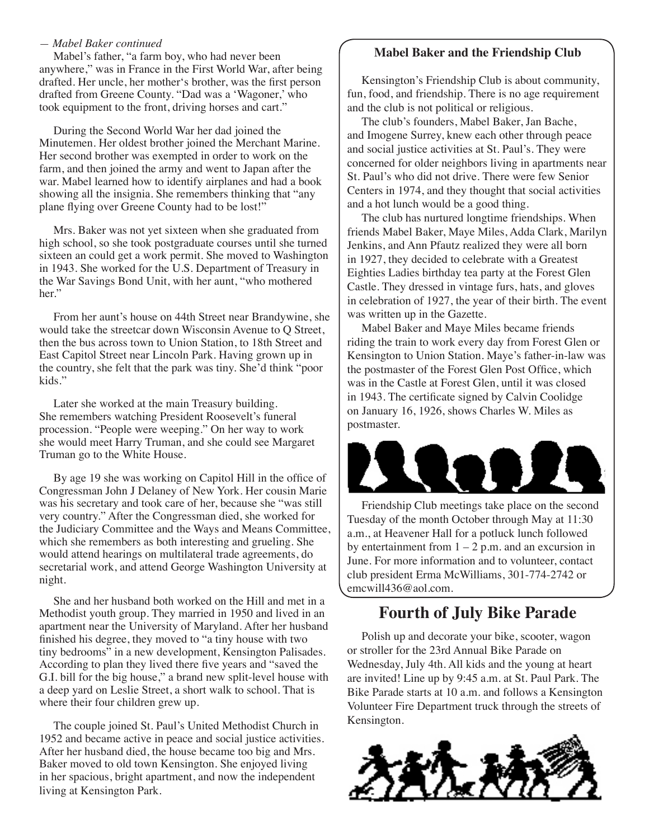#### *— Mabel Baker continued*

Mabel's father, "a farm boy, who had never been anywhere," was in France in the First World War, after being drafted. Her uncle, her mother's brother, was the first person drafted from Greene County. "Dad was a 'Wagoner,' who took equipment to the front, driving horses and cart."

During the Second World War her dad joined the Minutemen. Her oldest brother joined the Merchant Marine. Her second brother was exempted in order to work on the farm, and then joined the army and went to Japan after the war. Mabel learned how to identify airplanes and had a book showing all the insignia. She remembers thinking that "any plane flying over Greene County had to be lost!"

Mrs. Baker was not yet sixteen when she graduated from high school, so she took postgraduate courses until she turned sixteen an could get a work permit. She moved to Washington in 1943. She worked for the U.S. Department of Treasury in the War Savings Bond Unit, with her aunt, "who mothered her."

From her aunt's house on 44th Street near Brandywine, she would take the streetcar down Wisconsin Avenue to Q Street, then the bus across town to Union Station, to 18th Street and East Capitol Street near Lincoln Park. Having grown up in the country, she felt that the park was tiny. She'd think "poor kids."

Later she worked at the main Treasury building. She remembers watching President Roosevelt's funeral procession. "People were weeping." On her way to work she would meet Harry Truman, and she could see Margaret Truman go to the White House.

By age 19 she was working on Capitol Hill in the office of Congressman John J Delaney of New York. Her cousin Marie was his secretary and took care of her, because she "was still very country." After the Congressman died, she worked for the Judiciary Committee and the Ways and Means Committee, which she remembers as both interesting and grueling. She would attend hearings on multilateral trade agreements, do secretarial work, and attend George Washington University at night.

She and her husband both worked on the Hill and met in a Methodist youth group. They married in 1950 and lived in an apartment near the University of Maryland. After her husband finished his degree, they moved to "a tiny house with two tiny bedrooms" in a new development, Kensington Palisades. According to plan they lived there five years and "saved the G.I. bill for the big house," a brand new split-level house with a deep yard on Leslie Street, a short walk to school. That is where their four children grew up.

The couple joined St. Paul's United Methodist Church in 1952 and became active in peace and social justice activities. After her husband died, the house became too big and Mrs. Baker moved to old town Kensington. She enjoyed living in her spacious, bright apartment, and now the independent living at Kensington Park.

#### **Mabel Baker and the Friendship Club**

Kensington's Friendship Club is about community, fun, food, and friendship. There is no age requirement and the club is not political or religious.

The club's founders, Mabel Baker, Jan Bache, and Imogene Surrey, knew each other through peace and social justice activities at St. Paul's. They were concerned for older neighbors living in apartments near St. Paul's who did not drive. There were few Senior Centers in 1974, and they thought that social activities and a hot lunch would be a good thing.

The club has nurtured longtime friendships. When friends Mabel Baker, Maye Miles, Adda Clark, Marilyn Jenkins, and Ann Pfautz realized they were all born in 1927, they decided to celebrate with a Greatest Eighties Ladies birthday tea party at the Forest Glen Castle. They dressed in vintage furs, hats, and gloves in celebration of 1927, the year of their birth. The event was written up in the Gazette.

Mabel Baker and Maye Miles became friends riding the train to work every day from Forest Glen or Kensington to Union Station. Maye's father-in-law was the postmaster of the Forest Glen Post Office, which was in the Castle at Forest Glen, until it was closed in 1943. The certificate signed by Calvin Coolidge on January 16, 1926, shows Charles W. Miles as postmaster.



Friendship Club meetings take place on the second Tuesday of the month October through May at 11:30 a.m., at Heavener Hall for a potluck lunch followed by entertainment from  $1 - 2$  p.m. and an excursion in June. For more information and to volunteer, contact club president Erma McWilliams, 301-774-2742 or emcwill436@aol.com.

### **Fourth of July Bike Parade**

Polish up and decorate your bike, scooter, wagon or stroller for the 23rd Annual Bike Parade on Wednesday, July 4th. All kids and the young at heart are invited! Line up by 9:45 a.m. at St. Paul Park. The Bike Parade starts at 10 a.m. and follows a Kensington Volunteer Fire Department truck through the streets of Kensington.

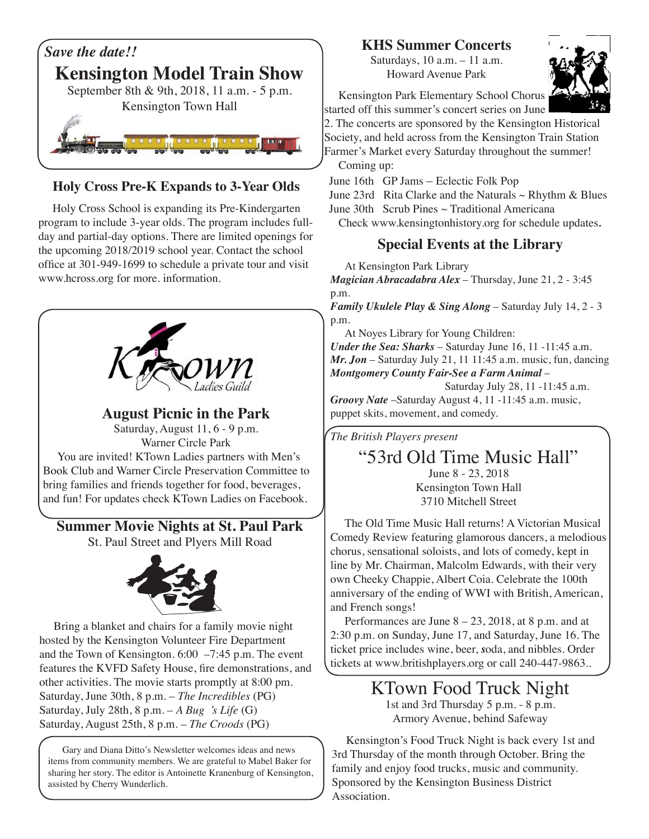

#### **Holy Cross Pre-K Expands to 3-Year Olds**

Holy Cross School is expanding its Pre-Kindergarten program to include 3-year olds. The program includes fullday and partial-day options. There are limited openings for the upcoming 2018/2019 school year. Contact the school office at 301-949-1699 to schedule a private tour and visit www.hcross.org for more. information.



**August Picnic in the Park** Saturday, August 11, 6 - 9 p.m. Warner Circle Park You are invited! KTown Ladies partners with Men's Book Club and Warner Circle Preservation Committee to bring families and friends together for food, beverages, and fun! For updates check KTown Ladies on Facebook.

### **Summer Movie Nights at St. Paul Park**

St. Paul Street and Plyers Mill Road



Bring a blanket and chairs for a family movie night hosted by the Kensington Volunteer Fire Department and the Town of Kensington. 6:00 –7:45 p.m. The event features the KVFD Safety House, fire demonstrations, and other activities. The movie starts promptly at 8:00 pm. Saturday, June 30th, 8 p.m. – *The Incredibles* (PG) Saturday, July 28th, 8 p.m. – *A Bug 's Life* (G) Saturday, August 25th, 8 p.m. – *The Croods* (PG)

Gary and Diana Ditto's Newsletter welcomes ideas and news items from community members. We are grateful to Mabel Baker for sharing her story. The editor is Antoinette Kranenburg of Kensington, assisted by Cherry Wunderlich.

## **KHS Summer Concerts**

Saturdays, 10 a.m. – 11 a.m. Howard Avenue Park



Kensington Park Elementary School Chorus started off this summer's concert series on June

2. The concerts are sponsored by the Kensington Historical Society, and held across from the Kensington Train Station Farmer's Market every Saturday throughout the summer! Coming up:

June 16th GP Jams – Eclectic Folk Pop

June 23rd Rita Clarke and the Naturals  $\sim$  Rhythm & Blues June 30th Scrub Pines ~ Traditional Americana

Check www.kensingtonhistory.org for schedule updates*.*

### **Special Events at the Library**

At Kensington Park Library

*Magician Abracadabra Alex* – Thursday, June 21, 2 - 3:45 p.m.

*Family Ukulele Play & Sing Along – Saturday July 14, 2 - 3* p.m.

At Noyes Library for Young Children:

*Under the Sea: Sharks* – Saturday June 16, 11 -11:45 a.m. *Mr. Jon* – Saturday July 21, 11 11:45 a.m. music, fun, dancing *Montgomery County Fair-See a Farm Animal* –

Saturday July 28, 11 -11:45 a.m.

*Groovy Nate* –Saturday August 4, 11 -11:45 a.m. music, puppet skits, movement, and comedy.

*The British Players present*

# "53rd Old Time Music Hall"

June 8 - 23, 2018 Kensington Town Hall 3710 Mitchell Street

The Old Time Music Hall returns! A Victorian Musical Comedy Review featuring glamorous dancers, a melodious chorus, sensational soloists, and lots of comedy, kept in line by Mr. Chairman, Malcolm Edwards, with their very own Cheeky Chappie, Albert Coia. Celebrate the 100th anniversary of the ending of WWI with British, American, and French songs!

Performances are June  $8 - 23$ , 2018, at 8 p.m. and at 2:30 p.m. on Sunday, June 17, and Saturday, June 16. The ticket price includes wine, beer, *s*oda, and nibbles. Order tickets at www.britishplayers.org or call 240-447-9863..

> KTown Food Truck Night 1st and 3rd Thursday 5 p.m. - 8 p.m. Armory Avenue, behind Safeway

Kensington's Food Truck Night is back every 1st and 3rd Thursday of the month through October. Bring the family and enjoy food trucks, music and community. Sponsored by the Kensington Business District Association.